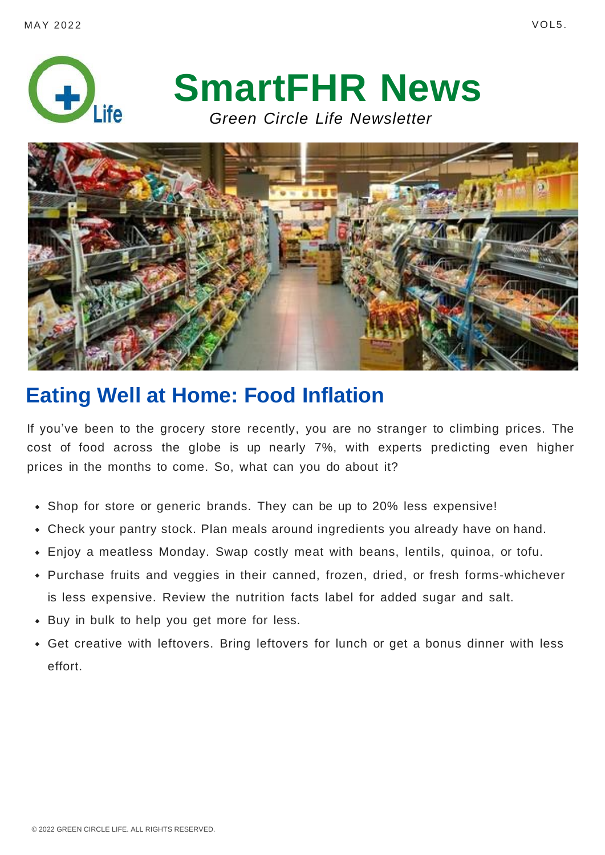



# **Eating Well at Home: Food Inflation**

If you've been to the grocery store recently, you are no stranger to climbing prices. The cost of food across the globe is up nearly 7%, with experts predicting even higher prices in the months to come. So, what can you do about it?

- Shop for store or generic brands. They can be up to 20% less expensive!
- Check your pantry stock. Plan meals around ingredients you already have on hand.
- Enjoy a meatless Monday. Swap costly meat with beans, lentils, quinoa, or tofu.
- Purchase fruits and veggies in their canned, frozen, dried, or fresh forms-whichever is less expensive. Review the nutrition facts label for added sugar and salt.
- Buy in bulk to help you get more for less.
- Get creative with leftovers. Bring leftovers for lunch or get a bonus dinner with less effort.